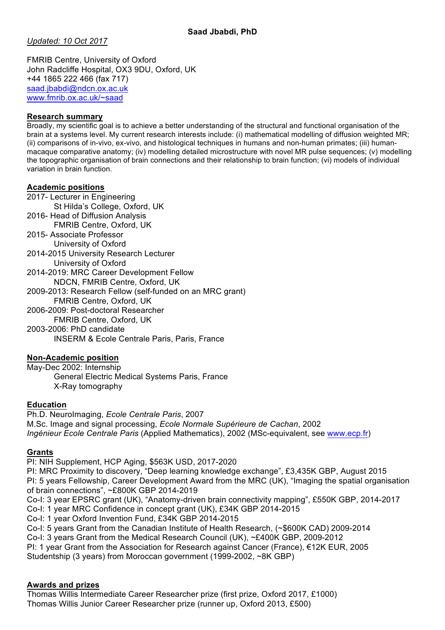*Updated: 10 Oct 2017*

FMRIB Centre, University of Oxford John Radcliffe Hospital, OX3 9DU, Oxford, UK +44 1865 222 466 (fax 717) saad.jbabdi@ndcn.ox.ac.uk www.fmrib.ox.ac.uk/~saad

#### **Research summary**

Broadly, my scientific goal is to achieve a better understanding of the structural and functional organisation of the brain at a systems level. My current research interests include: (i) mathematical modelling of diffusion weighted MR; (ii) comparisons of in-vivo, ex-vivo, and histological techniques in humans and non-human primates; (iii) humanmacaque comparative anatomy; (iv) modelling detailed microstructure with novel MR pulse sequences; (v) modelling the topographic organisation of brain connections and their relationship to brain function; (vi) models of individual variation in brain function.

#### **Academic positions**

2017- Lecturer in Engineering St Hilda's College, Oxford, UK 2016- Head of Diffusion Analysis FMRIB Centre, Oxford, UK 2015- Associate Professor University of Oxford 2014-2015 University Research Lecturer University of Oxford 2014-2019: MRC Career Development Fellow NDCN, FMRIB Centre, Oxford, UK 2009-2013: Research Fellow (self-funded on an MRC grant) FMRIB Centre, Oxford, UK 2006-2009: Post-doctoral Researcher FMRIB Centre, Oxford, UK 2003-2006: PhD candidate

INSERM & Ecole Centrale Paris, Paris, France

# **Non-Academic position**

May-Dec 2002: Internship General Electric Medical Systems Paris, France X-Ray tomography

#### **Education**

Ph.D. NeuroImaging, *Ecole Centrale Paris*, 2007 M.Sc. Image and signal processing, *Ecole Normale Supérieure de Cachan*, 2002 *Ingénieur Ecole Centrale Paris* (Applied Mathematics), 2002 (MSc-equivalent, see www.ecp.fr)

# **Grants**

PI: NIH Supplement, HCP Aging, \$563K USD, 2017-2020

PI: MRC Proximity to discovery, "Deep learning knowledge exchange", £3,435K GBP, August 2015 PI: 5 years Fellowship, Career Development Award from the MRC (UK), "Imaging the spatial organisation of brain connections", ~£800K GBP 2014-2019

Co-I: 3 year EPSRC grant (UK), "Anatomy-driven brain connectivity mapping", £550K GBP, 2014-2017 Co-I: 1 year MRC Confidence in concept grant (UK), £34K GBP 2014-2015

Co-I: 1 year Oxford Invention Fund, £34K GBP 2014-2015

Co-I: 5 years Grant from the Canadian Institute of Health Research, (~\$600K CAD) 2009-2014

Co-I: 3 years Grant from the Medical Research Council (UK), ~£400K GBP, 2009-2012

PI: 1 year Grant from the Association for Research against Cancer (France), €12K EUR, 2005 Studentship (3 years) from Moroccan government (1999-2002, ~8K GBP)

# **Awards and prizes**

Thomas Willis Intermediate Career Researcher prize (first prize, Oxford 2017, £1000) Thomas Willis Junior Career Researcher prize (runner up, Oxford 2013, £500)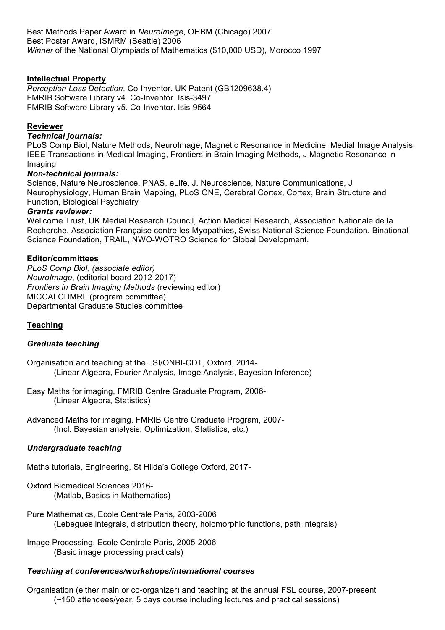# **Intellectual Property**

*Perception Loss Detection*. Co-Inventor. UK Patent (GB1209638.4) FMRIB Software Library v4. Co-Inventor. Isis-3497 FMRIB Software Library v5. Co-Inventor. Isis-9564

#### **Reviewer**

#### *Technical journals:*

PLoS Comp Biol, Nature Methods, NeuroImage, Magnetic Resonance in Medicine, Medial Image Analysis, IEEE Transactions in Medical Imaging, Frontiers in Brain Imaging Methods, J Magnetic Resonance in Imaging

# *Non-technical journals:*

Science, Nature Neuroscience, PNAS, eLife, J. Neuroscience, Nature Communications, J Neurophysiology, Human Brain Mapping, PLoS ONE, Cerebral Cortex, Cortex, Brain Structure and Function, Biological Psychiatry

#### *Grants reviewer:*

Wellcome Trust, UK Medial Research Council, Action Medical Research, Association Nationale de la Recherche, Association Française contre les Myopathies, Swiss National Science Foundation, Binational Science Foundation, TRAIL, NWO-WOTRO Science for Global Development.

# **Editor/committees**

*PLoS Comp Biol, (associate editor) NeuroImage*, (editorial board 2012-2017) *Frontiers in Brain Imaging Methods* (reviewing editor) MICCAI CDMRI, (program committee) Departmental Graduate Studies committee

# **Teaching**

# *Graduate teaching*

Organisation and teaching at the LSI/ONBI-CDT, Oxford, 2014- (Linear Algebra, Fourier Analysis, Image Analysis, Bayesian Inference)

Easy Maths for imaging, FMRIB Centre Graduate Program, 2006- (Linear Algebra, Statistics)

Advanced Maths for imaging, FMRIB Centre Graduate Program, 2007- (Incl. Bayesian analysis, Optimization, Statistics, etc.)

# *Undergraduate teaching*

Maths tutorials, Engineering, St Hilda's College Oxford, 2017-

Oxford Biomedical Sciences 2016- (Matlab, Basics in Mathematics)

Pure Mathematics, Ecole Centrale Paris, 2003-2006 (Lebegues integrals, distribution theory, holomorphic functions, path integrals)

Image Processing, Ecole Centrale Paris, 2005-2006 (Basic image processing practicals)

# *Teaching at conferences/workshops/international courses*

Organisation (either main or co-organizer) and teaching at the annual FSL course, 2007-present (~150 attendees/year, 5 days course including lectures and practical sessions)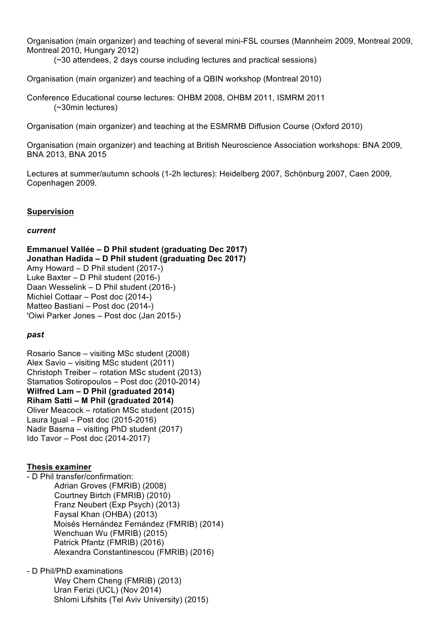Organisation (main organizer) and teaching of several mini-FSL courses (Mannheim 2009, Montreal 2009, Montreal 2010, Hungary 2012)

(~30 attendees, 2 days course including lectures and practical sessions)

Organisation (main organizer) and teaching of a QBIN workshop (Montreal 2010)

Conference Educational course lectures: OHBM 2008, OHBM 2011, ISMRM 2011 (~30min lectures)

Organisation (main organizer) and teaching at the ESMRMB Diffusion Course (Oxford 2010)

Organisation (main organizer) and teaching at British Neuroscience Association workshops: BNA 2009, BNA 2013, BNA 2015

Lectures at summer/autumn schools (1-2h lectures): Heidelberg 2007, Schönburg 2007, Caen 2009, Copenhagen 2009.

# **Supervision**

#### *current*

**Emmanuel Vallée – D Phil student (graduating Dec 2017) Jonathan Hadida – D Phil student (graduating Dec 2017)** Amy Howard – D Phil student (2017-) Luke Baxter – D Phil student (2016-) Daan Wesselink – D Phil student (2016-) Michiel Cottaar – Post doc (2014-) Matteo Bastiani – Post doc (2014-) 'Oiwi Parker Jones – Post doc (Jan 2015-)

# *past*

Rosario Sance – visiting MSc student (2008) Alex Savio – visiting MSc student (2011) Christoph Treiber – rotation MSc student (2013) Stamatios Sotiropoulos – Post doc (2010-2014) **Wilfred Lam – D Phil (graduated 2014) Riham Satti – M Phil (graduated 2014)** Oliver Meacock – rotation MSc student (2015) Laura Igual – Post doc (2015-2016) Nadir Basma – visiting PhD student (2017) Ido Tavor – Post doc (2014-2017)

# **Thesis examiner**

- D Phil transfer/confirmation: Adrian Groves (FMRIB) (2008) Courtney Birtch (FMRIB) (2010) Franz Neubert (Exp Psych) (2013) Faysal Khan (OHBA) (2013) Moisés Hernández Fernández (FMRIB) (2014) Wenchuan Wu (FMRIB) (2015) Patrick Pfantz (FMRIB) (2016) Alexandra Constantinescou (FMRIB) (2016)

- D Phil/PhD examinations Wey Chern Cheng (FMRIB) (2013) Uran Ferizi (UCL) (Nov 2014) Shlomi Lifshits (Tel Aviv University) (2015)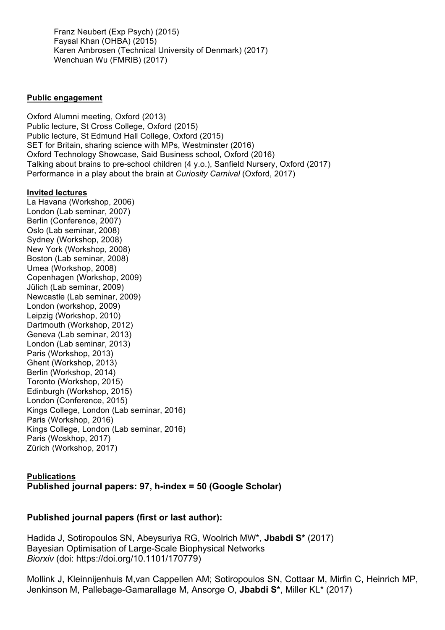Franz Neubert (Exp Psych) (2015) Faysal Khan (OHBA) (2015) Karen Ambrosen (Technical University of Denmark) (2017) Wenchuan Wu (FMRIB) (2017)

#### **Public engagement**

Oxford Alumni meeting, Oxford (2013) Public lecture, St Cross College, Oxford (2015) Public lecture, St Edmund Hall College, Oxford (2015) SET for Britain, sharing science with MPs, Westminster (2016) Oxford Technology Showcase, Said Business school, Oxford (2016) Talking about brains to pre-school children (4 y.o.), Sanfield Nursery, Oxford (2017) Performance in a play about the brain at *Curiosity Carnival* (Oxford, 2017)

#### **Invited lectures**

La Havana (Workshop, 2006) London (Lab seminar, 2007) Berlin (Conference, 2007) Oslo (Lab seminar, 2008) Sydney (Workshop, 2008) New York (Workshop, 2008) Boston (Lab seminar, 2008) Umea (Workshop, 2008) Copenhagen (Workshop, 2009) Jülich (Lab seminar, 2009) Newcastle (Lab seminar, 2009) London (workshop, 2009) Leipzig (Workshop, 2010) Dartmouth (Workshop, 2012) Geneva (Lab seminar, 2013) London (Lab seminar, 2013) Paris (Workshop, 2013) Ghent (Workshop, 2013) Berlin (Workshop, 2014) Toronto (Workshop, 2015) Edinburgh (Workshop, 2015) London (Conference, 2015) Kings College, London (Lab seminar, 2016) Paris (Workshop, 2016) Kings College, London (Lab seminar, 2016) Paris (Woskhop, 2017) Zürich (Workshop, 2017)

# **Publications Published journal papers: 97, h-index = 50 (Google Scholar)**

# **Published journal papers (first or last author):**

Hadida J, Sotiropoulos SN, Abeysuriya RG, Woolrich MW\*, **Jbabdi S\*** (2017) Bayesian Optimisation of Large-Scale Biophysical Networks *Biorxiv* (doi: https://doi.org/10.1101/170779)

Mollink J, Kleinnijenhuis M,van Cappellen AM; Sotiropoulos SN, Cottaar M, Mirfin C, Heinrich MP, Jenkinson M, Pallebage-Gamarallage M, Ansorge O, **Jbabdi S\***, Miller KL\* (2017)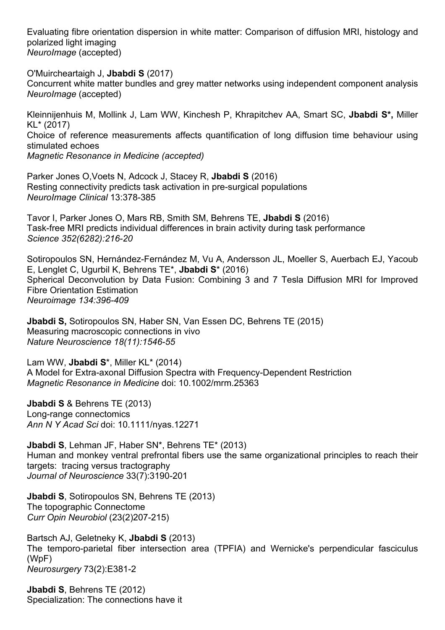Evaluating fibre orientation dispersion in white matter: Comparison of diffusion MRI, histology and polarized light imaging *NeuroImage* (accepted)

O'Muircheartaigh J, **Jbabdi S** (2017) Concurrent white matter bundles and grey matter networks using independent component analysis *NeuroImage* (accepted)

Kleinnijenhuis M, Mollink J, Lam WW, Kinchesh P, Khrapitchev AA, Smart SC, **Jbabdi S\*,** Miller KL\* (2017) Choice of reference measurements affects quantification of long diffusion time behaviour using stimulated echoes *Magnetic Resonance in Medicine (accepted)*

Parker Jones O,Voets N, Adcock J, Stacey R, **Jbabdi S** (2016) Resting connectivity predicts task activation in pre-surgical populations *NeuroImage Clinical* 13:378-385

Tavor I, Parker Jones O, Mars RB, Smith SM, Behrens TE, **Jbabdi S** (2016) Task-free MRI predicts individual differences in brain activity during task performance *Science 352(6282):216-20*

Sotiropoulos SN, Hernández-Fernández M, Vu A, Andersson JL, Moeller S, Auerbach EJ, Yacoub E, Lenglet C, Ugurbil K, Behrens TE\*, **Jbabdi S**\* (2016) Spherical Deconvolution by Data Fusion: Combining 3 and 7 Tesla Diffusion MRI for Improved Fibre Orientation Estimation *Neuroimage 134:396-409*

**Jbabdi S,** Sotiropoulos SN, Haber SN, Van Essen DC, Behrens TE (2015) Measuring macroscopic connections in vivo *Nature Neuroscience 18(11):1546-55*

Lam WW, **Jbabdi S**\*, Miller KL\* (2014) A Model for Extra-axonal Diffusion Spectra with Frequency-Dependent Restriction *Magnetic Resonance in Medicine* doi: 10.1002/mrm.25363

**Jbabdi S** & Behrens TE (2013) Long-range connectomics *Ann N Y Acad Sci* doi: 10.1111/nyas.12271

**Jbabdi S**, Lehman JF, Haber SN\*, Behrens TE\* (2013) Human and monkey ventral prefrontal fibers use the same organizational principles to reach their targets: tracing versus tractography *Journal of Neuroscience* 33(7):3190-201

**Jbabdi S**, Sotiropoulos SN, Behrens TE (2013) The topographic Connectome *Curr Opin Neurobiol* (23(2)207-215)

Bartsch AJ, Geletneky K, **Jbabdi S** (2013) The temporo-parietal fiber intersection area (TPFIA) and Wernicke's perpendicular fasciculus (WpF) *Neurosurgery* 73(2):E381-2

**Jbabdi S**, Behrens TE (2012) Specialization: The connections have it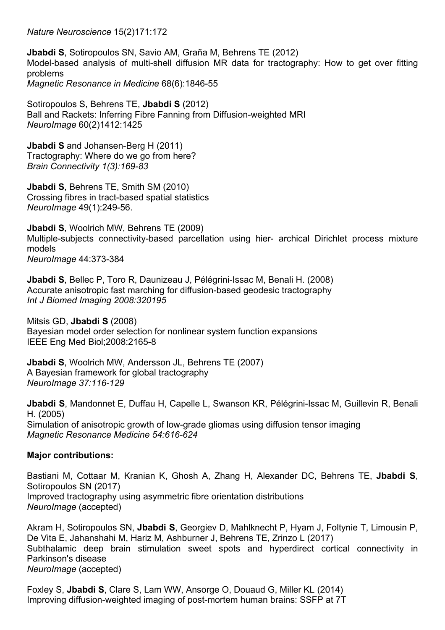*Nature Neuroscience* 15(2)171:172

**Jbabdi S**, Sotiropoulos SN, Savio AM, Graña M, Behrens TE (2012) Model-based analysis of multi-shell diffusion MR data for tractography: How to get over fitting problems *Magnetic Resonance in Medicine* 68(6):1846-55

Sotiropoulos S, Behrens TE, **Jbabdi S** (2012) Ball and Rackets: Inferring Fibre Fanning from Diffusion-weighted MRI *NeuroImage* 60(2)1412:1425

**Jbabdi S** and Johansen-Berg H (2011) Tractography: Where do we go from here? *Brain Connectivity 1(3):169-83* 

**Jbabdi S**, Behrens TE, Smith SM (2010) Crossing fibres in tract-based spatial statistics *NeuroImage* 49(1):249-56.

**Jbabdi S**, Woolrich MW, Behrens TE (2009) Multiple-subjects connectivity-based parcellation using hier- archical Dirichlet process mixture models *NeuroImage* 44:373-384

**Jbabdi S**, Bellec P, Toro R, Daunizeau J, Pélégrini-Issac M, Benali H. (2008) Accurate anisotropic fast marching for diffusion-based geodesic tractography *Int J Biomed Imaging 2008:320195* 

Mitsis GD, **Jbabdi S** (2008) Bayesian model order selection for nonlinear system function expansions IEEE Eng Med Biol;2008:2165-8

**Jbabdi S**, Woolrich MW, Andersson JL, Behrens TE (2007) A Bayesian framework for global tractography *NeuroImage 37:116-129* 

**Jbabdi S**, Mandonnet E, Duffau H, Capelle L, Swanson KR, Pélégrini-Issac M, Guillevin R, Benali H. (2005) Simulation of anisotropic growth of low-grade gliomas using diffusion tensor imaging *Magnetic Resonance Medicine 54:616-624* 

# **Major contributions:**

Bastiani M, Cottaar M, Kranian K, Ghosh A, Zhang H, Alexander DC, Behrens TE, **Jbabdi S**, Sotiropoulos SN (2017) Improved tractography using asymmetric fibre orientation distributions *NeuroImage* (accepted)

Akram H, Sotiropoulos SN, **Jbabdi S**, Georgiev D, Mahlknecht P, Hyam J, Foltynie T, Limousin P, De Vita E, Jahanshahi M, Hariz M, Ashburner J, Behrens TE, Zrinzo L (2017) Subthalamic deep brain stimulation sweet spots and hyperdirect cortical connectivity in Parkinson's disease *NeuroImage* (accepted)

Foxley S, **Jbabdi S**, Clare S, Lam WW, Ansorge O, Douaud G, Miller KL (2014) Improving diffusion-weighted imaging of post-mortem human brains: SSFP at 7T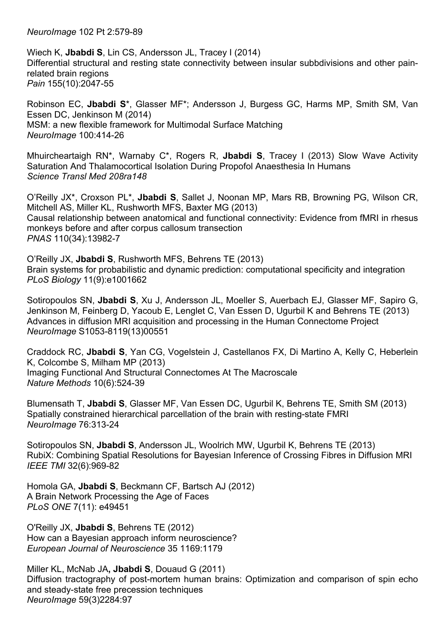*NeuroImage* 102 Pt 2:579-89

Wiech K, **Jbabdi S**, Lin CS, Andersson JL, Tracey I (2014) Differential structural and resting state connectivity between insular subbdivisions and other painrelated brain regions *Pain* 155(10):2047-55

Robinson EC, **Jbabdi S**\*, Glasser MF\*; Andersson J, Burgess GC, Harms MP, Smith SM, Van Essen DC, Jenkinson M (2014) MSM: a new flexible framework for Multimodal Surface Matching *NeuroImage* 100:414-26

Mhuircheartaigh RN\*, Warnaby C\*, Rogers R, **Jbabdi S**, Tracey I (2013) Slow Wave Activity Saturation And Thalamocortical Isolation During Propofol Anaesthesia In Humans *Science Transl Med 208ra148*

O'Reilly JX\*, Croxson PL\*, **Jbabdi S**, Sallet J, Noonan MP, Mars RB, Browning PG, Wilson CR, Mitchell AS, Miller KL, Rushworth MFS, Baxter MG (2013) Causal relationship between anatomical and functional connectivity: Evidence from fMRI in rhesus monkeys before and after corpus callosum transection *PNAS* 110(34):13982-7

O'Reilly JX, **Jbabdi S**, Rushworth MFS, Behrens TE (2013) Brain systems for probabilistic and dynamic prediction: computational specificity and integration *PLoS Biology* 11(9):e1001662

Sotiropoulos SN, **Jbabdi S**, Xu J, Andersson JL, Moeller S, Auerbach EJ, Glasser MF, Sapiro G, Jenkinson M, Feinberg D, Yacoub E, Lenglet C, Van Essen D, Ugurbil K and Behrens TE (2013) Advances in diffusion MRI acquisition and processing in the Human Connectome Project *NeuroImage* S1053-8119(13)00551

Craddock RC, **Jbabdi S**, Yan CG, Vogelstein J, Castellanos FX, Di Martino A, Kelly C, Heberlein K, Colcombe S, Milham MP (2013) Imaging Functional And Structural Connectomes At The Macroscale *Nature Methods* 10(6):524-39

Blumensath T, **Jbabdi S**, Glasser MF, Van Essen DC, Ugurbil K, Behrens TE, Smith SM (2013) Spatially constrained hierarchical parcellation of the brain with resting-state FMRI *NeuroImage* 76:313-24

Sotiropoulos SN, **Jbabdi S**, Andersson JL, Woolrich MW, Ugurbil K, Behrens TE (2013) RubiX: Combining Spatial Resolutions for Bayesian Inference of Crossing Fibres in Diffusion MRI *IEEE TMI* 32(6):969-82

Homola GA, **Jbabdi S**, Beckmann CF, Bartsch AJ (2012) A Brain Network Processing the Age of Faces *PLoS ONE* 7(11): e49451

O'Reilly JX, **Jbabdi S**, Behrens TE (2012) How can a Bayesian approach inform neuroscience? *European Journal of Neuroscience* 35 1169:1179

Miller KL, McNab JA**, Jbabdi S**, Douaud G (2011) Diffusion tractography of post-mortem human brains: Optimization and comparison of spin echo and steady-state free precession techniques *NeuroImage* 59(3)2284:97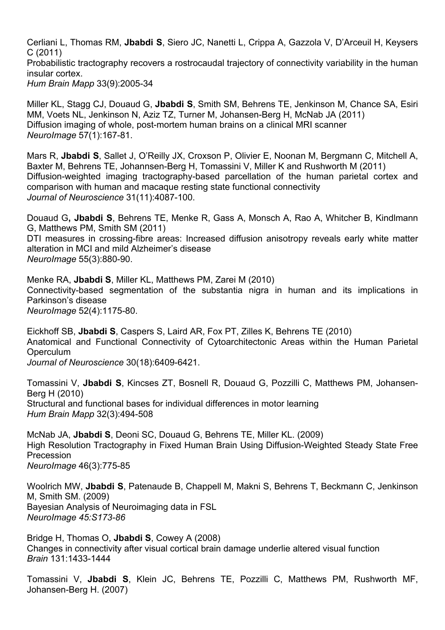Cerliani L, Thomas RM, **Jbabdi S**, Siero JC, Nanetti L, Crippa A, Gazzola V, D'Arceuil H, Keysers C (2011) Probabilistic tractography recovers a rostrocaudal trajectory of connectivity variability in the human insular cortex. *Hum Brain Mapp* 33(9):2005-34

Miller KL, Stagg CJ, Douaud G, **Jbabdi S**, Smith SM, Behrens TE, Jenkinson M, Chance SA, Esiri MM, Voets NL, Jenkinson N, Aziz TZ, Turner M, Johansen-Berg H, McNab JA (2011) Diffusion imaging of whole, post-mortem human brains on a clinical MRI scanner *NeuroImage* 57(1):167-81.

Mars R, **Jbabdi S**, Sallet J, O'Reilly JX, Croxson P, Olivier E, Noonan M, Bergmann C, Mitchell A, Baxter M, Behrens TE, Johannsen-Berg H, Tomassini V, Miller K and Rushworth M (2011) Diffusion-weighted imaging tractography-based parcellation of the human parietal cortex and comparison with human and macaque resting state functional connectivity *Journal of Neuroscience* 31(11):4087-100.

Douaud G**, Jbabdi S**, Behrens TE, Menke R, Gass A, Monsch A, Rao A, Whitcher B, Kindlmann G, Matthews PM, Smith SM (2011) DTI measures in crossing-fibre areas: Increased diffusion anisotropy reveals early white matter alteration in MCI and mild Alzheimer's disease *NeuroImage* 55(3):880-90.

Menke RA, **Jbabdi S**, Miller KL, Matthews PM, Zarei M (2010) Connectivity-based segmentation of the substantia nigra in human and its implications in Parkinson's disease *NeuroImage* 52(4):1175-80.

Eickhoff SB, **Jbabdi S**, Caspers S, Laird AR, Fox PT, Zilles K, Behrens TE (2010) Anatomical and Functional Connectivity of Cytoarchitectonic Areas within the Human Parietal **Operculum** *Journal of Neuroscience* 30(18):6409-6421.

Tomassini V, **Jbabdi S**, Kincses ZT, Bosnell R, Douaud G, Pozzilli C, Matthews PM, Johansen-Berg H (2010) Structural and functional bases for individual differences in motor learning *Hum Brain Mapp* 32(3):494-508

McNab JA, **Jbabdi S**, Deoni SC, Douaud G, Behrens TE, Miller KL. (2009) High Resolution Tractography in Fixed Human Brain Using Diffusion-Weighted Steady State Free Precession *NeuroImage* 46(3):775-85

Woolrich MW, **Jbabdi S**, Patenaude B, Chappell M, Makni S, Behrens T, Beckmann C, Jenkinson M, Smith SM. (2009) Bayesian Analysis of Neuroimaging data in FSL *NeuroImage 45:S173-86* 

Bridge H, Thomas O, **Jbabdi S**, Cowey A (2008) Changes in connectivity after visual cortical brain damage underlie altered visual function *Brain* 131:1433-1444

Tomassini V, **Jbabdi S**, Klein JC, Behrens TE, Pozzilli C, Matthews PM, Rushworth MF, Johansen-Berg H. (2007)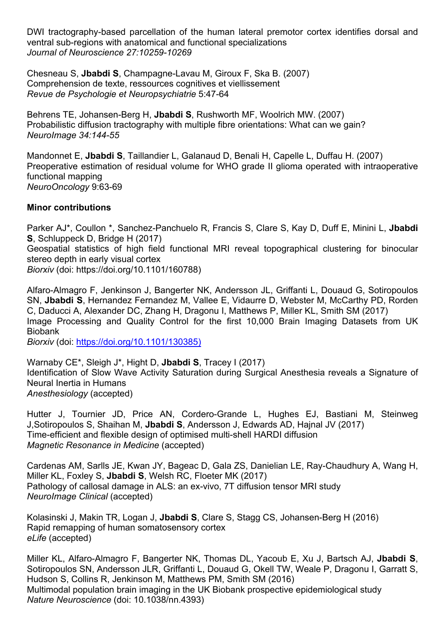DWI tractography-based parcellation of the human lateral premotor cortex identifies dorsal and ventral sub-regions with anatomical and functional specializations *Journal of Neuroscience 27:10259-10269* 

Chesneau S, **Jbabdi S**, Champagne-Lavau M, Giroux F, Ska B. (2007) Comprehension de texte, ressources cognitives et viellissement *Revue de Psychologie et Neuropsychiatrie* 5:47-64

Behrens TE, Johansen-Berg H, **Jbabdi S**, Rushworth MF, Woolrich MW. (2007) Probabilistic diffusion tractography with multiple fibre orientations: What can we gain? *NeuroImage 34:144-55* 

Mandonnet E, **Jbabdi S**, Taillandier L, Galanaud D, Benali H, Capelle L, Duffau H. (2007) Preoperative estimation of residual volume for WHO grade II glioma operated with intraoperative functional mapping *NeuroOncology* 9:63-69

# **Minor contributions**

Parker AJ\*, Coullon \*, Sanchez-Panchuelo R, Francis S, Clare S, Kay D, Duff E, Minini L, **Jbabdi S**, Schluppeck D, Bridge H (2017) Geospatial statistics of high field functional MRI reveal topographical clustering for binocular stereo depth in early visual cortex *Biorxiv* (doi: https://doi.org/10.1101/160788)

Alfaro-Almagro F, Jenkinson J, Bangerter NK, Andersson JL, Griffanti L, Douaud G, Sotiropoulos SN, **Jbabdi S**, Hernandez Fernandez M, Vallee E, Vidaurre D, Webster M, McCarthy PD, Rorden C, Daducci A, Alexander DC, Zhang H, Dragonu I, Matthews P, Miller KL, Smith SM (2017) Image Processing and Quality Control for the first 10,000 Brain Imaging Datasets from UK Biobank

*Biorxiv* (doi: https://doi.org/10.1101/130385)

Warnaby CE\*, Sleigh J\*, Hight D, **Jbabdi S**, Tracey I (2017) Identification of Slow Wave Activity Saturation during Surgical Anesthesia reveals a Signature of Neural Inertia in Humans *Anesthesiology* (accepted)

Hutter J, Tournier JD, Price AN, Cordero-Grande L, Hughes EJ, Bastiani M, Steinweg J,Sotiropoulos S, Shaihan M, **Jbabdi S**, Andersson J, Edwards AD, Hajnal JV (2017) Time-efficient and flexible design of optimised multi-shell HARDI diffusion *Magnetic Resonance in Medicine* (accepted)

Cardenas AM, Sarlls JE, Kwan JY, Bageac D, Gala ZS, Danielian LE, Ray-Chaudhury A, Wang H, Miller KL, Foxley S, **Jbabdi S**, Welsh RC, Floeter MK (2017) Pathology of callosal damage in ALS: an ex-vivo, 7T diffusion tensor MRI study *NeuroImage Clinical* (accepted)

Kolasinski J, Makin TR, Logan J, **Jbabdi S**, Clare S, Stagg CS, Johansen-Berg H (2016) Rapid remapping of human somatosensory cortex *eLife* (accepted)

Miller KL, Alfaro-Almagro F, Bangerter NK, Thomas DL, Yacoub E, Xu J, Bartsch AJ, **Jbabdi S**, Sotiropoulos SN, Andersson JLR, Griffanti L, Douaud G, Okell TW, Weale P, Dragonu I, Garratt S, Hudson S, Collins R, Jenkinson M, Matthews PM, Smith SM (2016) Multimodal population brain imaging in the UK Biobank prospective epidemiological study *Nature Neuroscience* (doi: 10.1038/nn.4393)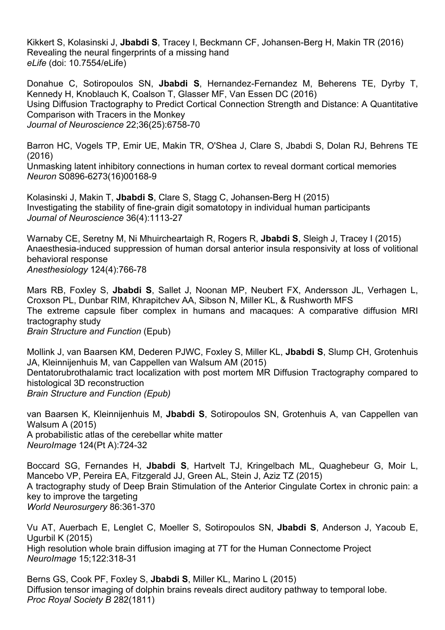Kikkert S, Kolasinski J, **Jbabdi S**, Tracey I, Beckmann CF, Johansen-Berg H, Makin TR (2016) Revealing the neural fingerprints of a missing hand *eLife* (doi: 10.7554/eLife)

Donahue C, Sotiropoulos SN, **Jbabdi S**, Hernandez-Fernandez M, Beherens TE, Dyrby T, Kennedy H, Knoblauch K, Coalson T, Glasser MF, Van Essen DC (2016) Using Diffusion Tractography to Predict Cortical Connection Strength and Distance: A Quantitative Comparison with Tracers in the Monkey *Journal of Neuroscience* 22;36(25):6758-70

Barron HC, Vogels TP, Emir UE, Makin TR, O'Shea J, Clare S, Jbabdi S, Dolan RJ, Behrens TE (2016)

Unmasking latent inhibitory connections in human cortex to reveal dormant cortical memories *Neuron* S0896-6273(16)00168-9

Kolasinski J, Makin T, **Jbabdi S**, Clare S, Stagg C, Johansen-Berg H (2015) Investigating the stability of fine-grain digit somatotopy in individual human participants *Journal of Neuroscience* 36(4):1113-27

Warnaby CE, Seretny M, Ni Mhuircheartaigh R, Rogers R, **Jbabdi S**, Sleigh J, Tracey I (2015) Anaesthesia-induced suppression of human dorsal anterior insula responsivity at loss of volitional behavioral response *Anesthesiology* 124(4):766-78

Mars RB, Foxley S, **Jbabdi S**, Sallet J, Noonan MP, Neubert FX, Andersson JL, Verhagen L, Croxson PL, Dunbar RIM, Khrapitchev AA, Sibson N, Miller KL, & Rushworth MFS The extreme capsule fiber complex in humans and macaques: A comparative diffusion MRI tractography study *Brain Structure and Function* (Epub)

Mollink J, van Baarsen KM, Dederen PJWC, Foxley S, Miller KL, **Jbabdi S**, Slump CH, Grotenhuis JA, Kleinnijenhuis M, van Cappellen van Walsum AM (2015) Dentatorubrothalamic tract localization with post mortem MR Diffusion Tractography compared to histological 3D reconstruction *Brain Structure and Function (Epub)*

van Baarsen K, Kleinnijenhuis M, **Jbabdi S**, Sotiropoulos SN, Grotenhuis A, van Cappellen van Walsum A (2015) A probabilistic atlas of the cerebellar white matter *NeuroImage* 124(Pt A):724-32

Boccard SG, Fernandes H, **Jbabdi S**, Hartvelt TJ, Kringelbach ML, Quaghebeur G, Moir L, Mancebo VP, Pereira EA, Fitzgerald JJ, Green AL, Stein J, Aziz TZ (2015) A tractography study of Deep Brain Stimulation of the Anterior Cingulate Cortex in chronic pain: a key to improve the targeting *World Neurosurgery* 86:361-370

Vu AT, Auerbach E, Lenglet C, Moeller S, Sotiropoulos SN, **Jbabdi S**, Anderson J, Yacoub E, Ugurbil K (2015) High resolution whole brain diffusion imaging at 7T for the Human Connectome Project *NeuroImage* 15;122:318-31

Berns GS, Cook PF, Foxley S, **Jbabdi S**, Miller KL, Marino L (2015) Diffusion tensor imaging of dolphin brains reveals direct auditory pathway to temporal lobe. *Proc Royal Society B* 282(1811)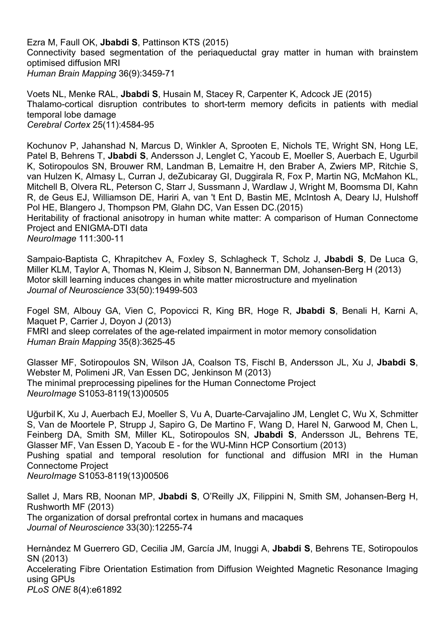Ezra M, Faull OK, **Jbabdi S**, Pattinson KTS (2015) Connectivity based segmentation of the periaqueductal gray matter in human with brainstem optimised diffusion MRI *Human Brain Mapping* 36(9):3459-71

Voets NL, Menke RAL, **Jbabdi S**, Husain M, Stacey R, Carpenter K, Adcock JE (2015) Thalamo-cortical disruption contributes to short-term memory deficits in patients with medial temporal lobe damage *Cerebral Cortex* 25(11):4584-95

Kochunov P, Jahanshad N, Marcus D, Winkler A, Sprooten E, Nichols TE, Wright SN, Hong LE, Patel B, Behrens T, **Jbabdi S**, Andersson J, Lenglet C, Yacoub E, Moeller S, Auerbach E, Ugurbil K, Sotiropoulos SN, Brouwer RM, Landman B, Lemaitre H, den Braber A, Zwiers MP, Ritchie S, van Hulzen K, Almasy L, Curran J, deZubicaray GI, Duggirala R, Fox P, Martin NG, McMahon KL, Mitchell B, Olvera RL, Peterson C, Starr J, Sussmann J, Wardlaw J, Wright M, Boomsma DI, Kahn R, de Geus EJ, Williamson DE, Hariri A, van 't Ent D, Bastin ME, McIntosh A, Deary IJ, Hulshoff Pol HE, Blangero J, Thompson PM, Glahn DC, Van Essen DC.(2015) Heritability of fractional anisotropy in human white matter: A comparison of Human Connectome

Project and ENIGMA-DTI data

*NeuroImage* 111:300-11

Sampaio-Baptista C, Khrapitchev A, Foxley S, Schlagheck T, Scholz J, **Jbabdi S**, De Luca G, Miller KLM, Taylor A, Thomas N, Kleim J, Sibson N, Bannerman DM, Johansen-Berg H (2013) Motor skill learning induces changes in white matter microstructure and myelination *Journal of Neuroscience* 33(50):19499-503

Fogel SM, Albouy GA, Vien C, Popovicci R, King BR, Hoge R, **Jbabdi S**, Benali H, Karni A, Maquet P, Carrier J, Doyon J (2013) FMRI and sleep correlates of the age-related impairment in motor memory consolidation *Human Brain Mapping* 35(8):3625-45

Glasser MF, Sotiropoulos SN, Wilson JA, Coalson TS, Fischl B, Andersson JL, Xu J, **Jbabdi S**, Webster M, Polimeni JR, Van Essen DC, Jenkinson M (2013) The minimal preprocessing pipelines for the Human Connectome Project *NeuroImage* S1053-8119(13)00505

Uğurbil K, Xu J, Auerbach EJ, Moeller S, Vu A, Duarte-Carvajalino JM, Lenglet C, Wu X, Schmitter S, Van de Moortele P, Strupp J, Sapiro G, De Martino F, Wang D, Harel N, Garwood M, Chen L, Feinberg DA, Smith SM, Miller KL, Sotiropoulos SN, **Jbabdi S**, Andersson JL, Behrens TE, Glasser MF, Van Essen D, Yacoub E - for the WU-Minn HCP Consortium (2013) Pushing spatial and temporal resolution for functional and diffusion MRI in the Human Connectome Project

*NeuroImage* S1053-8119(13)00506

Sallet J, Mars RB, Noonan MP, **Jbabdi S**, O'Reilly JX, Filippini N, Smith SM, Johansen-Berg H, Rushworth MF (2013) The organization of dorsal prefrontal cortex in humans and macaques *Journal of Neuroscience* 33(30):12255-74

Hernàndez M Guerrero GD, Cecilia JM, García JM, Inuggi A, **Jbabdi S**, Behrens TE, Sotiropoulos SN (2013) Accelerating Fibre Orientation Estimation from Diffusion Weighted Magnetic Resonance Imaging using GPUs *PLoS ONE* 8(4):e61892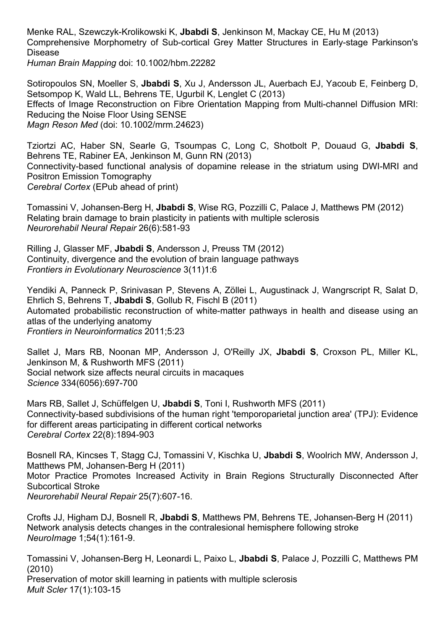Menke RAL, Szewczyk-Krolikowski K, **Jbabdi S**, Jenkinson M, Mackay CE, Hu M (2013) Comprehensive Morphometry of Sub-cortical Grey Matter Structures in Early-stage Parkinson's Disease

*Human Brain Mapping* doi: 10.1002/hbm.22282

Sotiropoulos SN, Moeller S, **Jbabdi S**, Xu J, Andersson JL, Auerbach EJ, Yacoub E, Feinberg D, Setsompop K, Wald LL, Behrens TE, Ugurbil K, Lenglet C (2013) Effects of Image Reconstruction on Fibre Orientation Mapping from Multi-channel Diffusion MRI: Reducing the Noise Floor Using SENSE *Magn Reson Med* (doi: 10.1002/mrm.24623)

Tziortzi AC, Haber SN, Searle G, Tsoumpas C, Long C, Shotbolt P, Douaud G, **Jbabdi S**, Behrens TE, Rabiner EA, Jenkinson M, Gunn RN (2013) Connectivity-based functional analysis of dopamine release in the striatum using DWI-MRI and Positron Emission Tomography *Cerebral Cortex* (EPub ahead of print)

Tomassini V, Johansen-Berg H, **Jbabdi S**, Wise RG, Pozzilli C, Palace J, Matthews PM (2012) Relating brain damage to brain plasticity in patients with multiple sclerosis *Neurorehabil Neural Repair* 26(6):581-93

Rilling J, Glasser MF, **Jbabdi S**, Andersson J, Preuss TM (2012) Continuity, divergence and the evolution of brain language pathways *Frontiers in Evolutionary Neuroscience* 3(11)1:6

Yendiki A, Panneck P, Srinivasan P, Stevens A, Zöllei L, Augustinack J, Wangrscript R, Salat D, Ehrlich S, Behrens T, **Jbabdi S**, Gollub R, Fischl B (2011) Automated probabilistic reconstruction of white-matter pathways in health and disease using an atlas of the underlying anatomy *Frontiers in Neuroinformatics* 2011;5:23

Sallet J, Mars RB, Noonan MP, Andersson J, O'Reilly JX, **Jbabdi S**, Croxson PL, Miller KL, Jenkinson M, & Rushworth MFS (2011) Social network size affects neural circuits in macaques *Science* 334(6056):697-700

Mars RB, Sallet J, Schüffelgen U, **Jbabdi S**, Toni I, Rushworth MFS (2011) Connectivity-based subdivisions of the human right 'temporoparietal junction area' (TPJ): Evidence for different areas participating in different cortical networks *Cerebral Cortex* 22(8):1894-903

Bosnell RA, Kincses T, Stagg CJ, Tomassini V, Kischka U, **Jbabdi S**, Woolrich MW, Andersson J, Matthews PM, Johansen-Berg H (2011) Motor Practice Promotes Increased Activity in Brain Regions Structurally Disconnected After Subcortical Stroke *Neurorehabil Neural Repair* 25(7):607-16.

Crofts JJ, Higham DJ, Bosnell R, **Jbabdi S**, Matthews PM, Behrens TE, Johansen-Berg H (2011) Network analysis detects changes in the contralesional hemisphere following stroke *NeuroImage* 1;54(1):161-9.

Tomassini V, Johansen-Berg H, Leonardi L, Paixo L, **Jbabdi S**, Palace J, Pozzilli C, Matthews PM (2010) Preservation of motor skill learning in patients with multiple sclerosis *Mult Scler* 17(1):103-15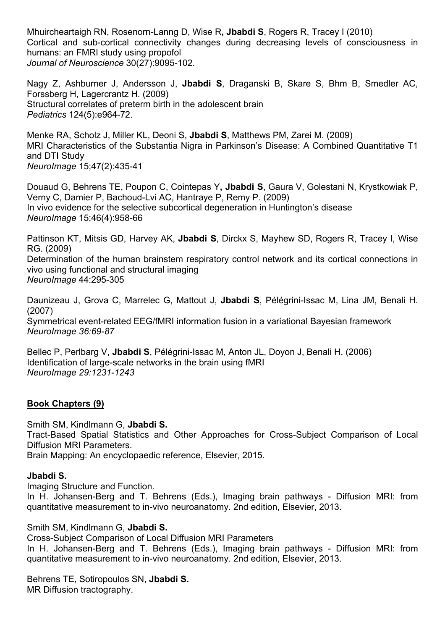Mhuircheartaigh RN, Rosenorn-Lanng D, Wise R**, Jbabdi S**, Rogers R, Tracey I (2010) Cortical and sub-cortical connectivity changes during decreasing levels of consciousness in humans: an FMRI study using propofol *Journal of Neuroscience* 30(27):9095-102.

Nagy Z, Ashburner J, Andersson J, **Jbabdi S**, Draganski B, Skare S, Bhm B, Smedler AC, Forssberg H, Lagercrantz H. (2009) Structural correlates of preterm birth in the adolescent brain *Pediatrics* 124(5):e964-72.

Menke RA, Scholz J, Miller KL, Deoni S, **Jbabdi S**, Matthews PM, Zarei M. (2009) MRI Characteristics of the Substantia Nigra in Parkinson's Disease: A Combined Quantitative T1 and DTI Study *NeuroImage* 15;47(2):435-41

Douaud G, Behrens TE, Poupon C, Cointepas Y**, Jbabdi S**, Gaura V, Golestani N, Krystkowiak P, Verny C, Damier P, Bachoud-Lvi AC, Hantraye P, Remy P. (2009) In vivo evidence for the selective subcortical degeneration in Huntington's disease *NeuroImage* 15;46(4):958-66

Pattinson KT, Mitsis GD, Harvey AK, **Jbabdi S**, Dirckx S, Mayhew SD, Rogers R, Tracey I, Wise RG. (2009)

Determination of the human brainstem respiratory control network and its cortical connections in vivo using functional and structural imaging *NeuroImage* 44:295-305

Daunizeau J, Grova C, Marrelec G, Mattout J, **Jbabdi S**, Pélégrini-Issac M, Lina JM, Benali H. (2007) Symmetrical event-related EEG/fMRI information fusion in a variational Bayesian framework *NeuroImage 36:69-87*

Bellec P, Perlbarg V, **Jbabdi S**, Pélégrini-Issac M, Anton JL, Doyon J, Benali H. (2006) Identification of large-scale networks in the brain using fMRI *NeuroImage 29:1231-1243*

# **Book Chapters (9)**

Smith SM, Kindlmann G, **Jbabdi S.**

Tract-Based Spatial Statistics and Other Approaches for Cross-Subject Comparison of Local Diffusion MRI Parameters.

Brain Mapping: An encyclopaedic reference, Elsevier, 2015.

# **Jbabdi S.**

Imaging Structure and Function.

In H. Johansen-Berg and T. Behrens (Eds.), Imaging brain pathways - Diffusion MRI: from quantitative measurement to in-vivo neuroanatomy. 2nd edition, Elsevier, 2013.

Smith SM, Kindlmann G, **Jbabdi S.**

Cross-Subject Comparison of Local Diffusion MRI Parameters

In H. Johansen-Berg and T. Behrens (Eds.), Imaging brain pathways - Diffusion MRI: from quantitative measurement to in-vivo neuroanatomy. 2nd edition, Elsevier, 2013.

Behrens TE, Sotiropoulos SN, **Jbabdi S.** MR Diffusion tractography.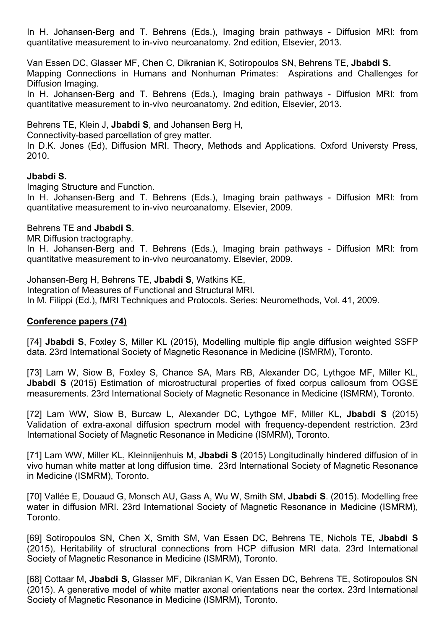In H. Johansen-Berg and T. Behrens (Eds.), Imaging brain pathways - Diffusion MRI: from quantitative measurement to in-vivo neuroanatomy. 2nd edition, Elsevier, 2013.

Van Essen DC, Glasser MF, Chen C, Dikranian K, Sotiropoulos SN, Behrens TE, **Jbabdi S.** Mapping Connections in Humans and Nonhuman Primates: Aspirations and Challenges for Diffusion Imaging.

In H. Johansen-Berg and T. Behrens (Eds.), Imaging brain pathways - Diffusion MRI: from quantitative measurement to in-vivo neuroanatomy. 2nd edition, Elsevier, 2013.

Behrens TE, Klein J, **Jbabdi S**, and Johansen Berg H,

Connectivity-based parcellation of grey matter.

In D.K. Jones (Ed), Diffusion MRI. Theory, Methods and Applications. Oxford Universty Press, 2010.

# **Jbabdi S.**

Imaging Structure and Function.

In H. Johansen-Berg and T. Behrens (Eds.), Imaging brain pathways - Diffusion MRI: from quantitative measurement to in-vivo neuroanatomy. Elsevier, 2009.

# Behrens TE and **Jbabdi S**.

MR Diffusion tractography.

In H. Johansen-Berg and T. Behrens (Eds.), Imaging brain pathways - Diffusion MRI: from quantitative measurement to in-vivo neuroanatomy. Elsevier, 2009.

Johansen-Berg H, Behrens TE, **Jbabdi S**, Watkins KE,

Integration of Measures of Functional and Structural MRI.

In M. Filippi (Ed.), fMRI Techniques and Protocols. Series: Neuromethods, Vol. 41, 2009.

# **Conference papers (74)**

[74] **Jbabdi S**, Foxley S, Miller KL (2015), Modelling multiple flip angle diffusion weighted SSFP data. 23rd International Society of Magnetic Resonance in Medicine (ISMRM), Toronto.

[73] Lam W, Siow B, Foxley S, Chance SA, Mars RB, Alexander DC, Lythgoe MF, Miller KL, **Jbabdi S** (2015) Estimation of microstructural properties of fixed corpus callosum from OGSE measurements. 23rd International Society of Magnetic Resonance in Medicine (ISMRM), Toronto.

[72] Lam WW, Siow B, Burcaw L, Alexander DC, Lythgoe MF, Miller KL, **Jbabdi S** (2015) Validation of extra-axonal diffusion spectrum model with frequency-dependent restriction. 23rd International Society of Magnetic Resonance in Medicine (ISMRM), Toronto.

[71] Lam WW, Miller KL, Kleinnijenhuis M, **Jbabdi S** (2015) Longitudinally hindered diffusion of in vivo human white matter at long diffusion time. 23rd International Society of Magnetic Resonance in Medicine (ISMRM), Toronto.

[70] Vallée E, Douaud G, Monsch AU, Gass A, Wu W, Smith SM, **Jbabdi S**. (2015). Modelling free water in diffusion MRI. 23rd International Society of Magnetic Resonance in Medicine (ISMRM), Toronto.

[69] Sotiropoulos SN, Chen X, Smith SM, Van Essen DC, Behrens TE, Nichols TE, **Jbabdi S** (2015), Heritability of structural connections from HCP diffusion MRI data. 23rd International Society of Magnetic Resonance in Medicine (ISMRM), Toronto.

[68] Cottaar M, **Jbabdi S**, Glasser MF, Dikranian K, Van Essen DC, Behrens TE, Sotiropoulos SN (2015). A generative model of white matter axonal orientations near the cortex. 23rd International Society of Magnetic Resonance in Medicine (ISMRM), Toronto.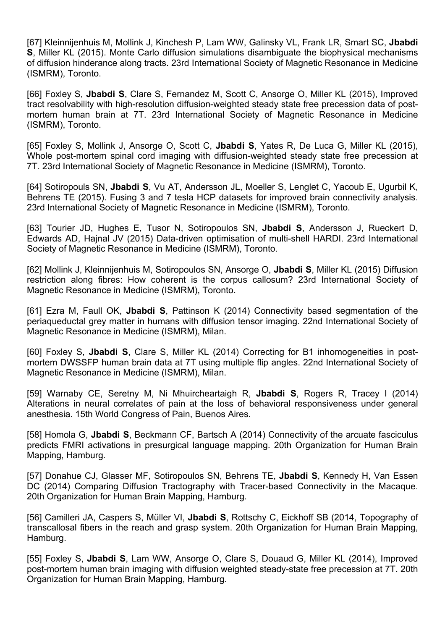[67] Kleinnijenhuis M, Mollink J, Kinchesh P, Lam WW, Galinsky VL, Frank LR, Smart SC, **Jbabdi S**, Miller KL (2015). Monte Carlo diffusion simulations disambiguate the biophysical mechanisms of diffusion hinderance along tracts. 23rd International Society of Magnetic Resonance in Medicine (ISMRM), Toronto.

[66] Foxley S, **Jbabdi S**, Clare S, Fernandez M, Scott C, Ansorge O, Miller KL (2015), Improved tract resolvability with high-resolution diffusion-weighted steady state free precession data of postmortem human brain at 7T. 23rd International Society of Magnetic Resonance in Medicine (ISMRM), Toronto.

[65] Foxley S, Mollink J, Ansorge O, Scott C, **Jbabdi S**, Yates R, De Luca G, Miller KL (2015), Whole post-mortem spinal cord imaging with diffusion-weighted steady state free precession at 7T. 23rd International Society of Magnetic Resonance in Medicine (ISMRM), Toronto.

[64] Sotiropouls SN, **Jbabdi S**, Vu AT, Andersson JL, Moeller S, Lenglet C, Yacoub E, Ugurbil K, Behrens TE (2015). Fusing 3 and 7 tesla HCP datasets for improved brain connectivity analysis. 23rd International Society of Magnetic Resonance in Medicine (ISMRM), Toronto.

[63] Tourier JD, Hughes E, Tusor N, Sotiropoulos SN, **Jbabdi S**, Andersson J, Rueckert D, Edwards AD, Hajnal JV (2015) Data-driven optimisation of multi-shell HARDI. 23rd International Society of Magnetic Resonance in Medicine (ISMRM), Toronto.

[62] Mollink J, Kleinnijenhuis M, Sotiropoulos SN, Ansorge O, **Jbabdi S**, Miller KL (2015) Diffusion restriction along fibres: How coherent is the corpus callosum? 23rd International Society of Magnetic Resonance in Medicine (ISMRM), Toronto.

[61] Ezra M, Faull OK, **Jbabdi S**, Pattinson K (2014) Connectivity based segmentation of the periaqueductal grey matter in humans with diffusion tensor imaging. 22nd International Society of Magnetic Resonance in Medicine (ISMRM), Milan.

[60] Foxley S, **Jbabdi S**, Clare S, Miller KL (2014) Correcting for B1 inhomogeneities in postmortem DWSSFP human brain data at 7T using multiple flip angles. 22nd International Society of Magnetic Resonance in Medicine (ISMRM), Milan.

[59] Warnaby CE, Seretny M, Ni Mhuircheartaigh R, **Jbabdi S**, Rogers R, Tracey I (2014) Alterations in neural correlates of pain at the loss of behavioral responsiveness under general anesthesia. 15th World Congress of Pain, Buenos Aires.

[58] Homola G, **Jbabdi S**, Beckmann CF, Bartsch A (2014) Connectivity of the arcuate fasciculus predicts FMRI activations in presurgical language mapping. 20th Organization for Human Brain Mapping, Hamburg.

[57] Donahue CJ, Glasser MF, Sotiropoulos SN, Behrens TE, **Jbabdi S**, Kennedy H, Van Essen DC (2014) Comparing Diffusion Tractography with Tracer-based Connectivity in the Macaque. 20th Organization for Human Brain Mapping, Hamburg.

[56] Camilleri JA, Caspers S, Müller VI, **Jbabdi S**, Rottschy C, Eickhoff SB (2014, Topography of transcallosal fibers in the reach and grasp system. 20th Organization for Human Brain Mapping, Hamburg.

[55] Foxley S, **Jbabdi S**, Lam WW, Ansorge O, Clare S, Douaud G, Miller KL (2014), Improved post-mortem human brain imaging with diffusion weighted steady-state free precession at 7T. 20th Organization for Human Brain Mapping, Hamburg.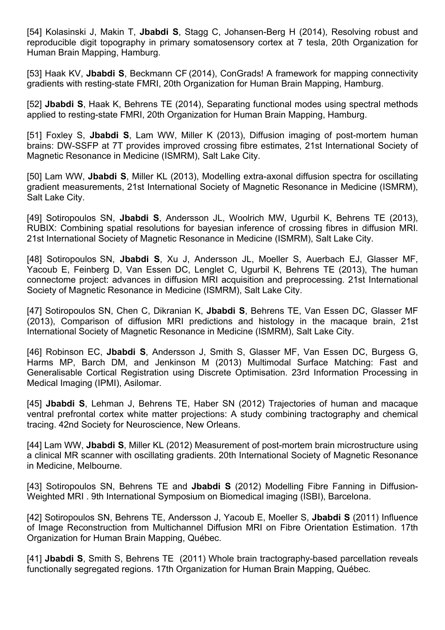[54] Kolasinski J, Makin T, **Jbabdi S**, Stagg C, Johansen-Berg H (2014), Resolving robust and reproducible digit topography in primary somatosensory cortex at 7 tesla, 20th Organization for Human Brain Mapping, Hamburg.

[53] Haak KV, **Jbabdi S**, Beckmann CF (2014), ConGrads! A framework for mapping connectivity gradients with resting-state FMRI, 20th Organization for Human Brain Mapping, Hamburg.

[52] **Jbabdi S**, Haak K, Behrens TE (2014), Separating functional modes using spectral methods applied to resting-state FMRI, 20th Organization for Human Brain Mapping, Hamburg.

[51] Foxley S, **Jbabdi S**, Lam WW, Miller K (2013), Diffusion imaging of post-mortem human brains: DW-SSFP at 7T provides improved crossing fibre estimates, 21st International Society of Magnetic Resonance in Medicine (ISMRM), Salt Lake City.

[50] Lam WW, **Jbabdi S**, Miller KL (2013), Modelling extra-axonal diffusion spectra for oscillating gradient measurements, 21st International Society of Magnetic Resonance in Medicine (ISMRM), Salt Lake City.

[49] Sotiropoulos SN, **Jbabdi S**, Andersson JL, Woolrich MW, Ugurbil K, Behrens TE (2013), RUBIX: Combining spatial resolutions for bayesian inference of crossing fibres in diffusion MRI. 21st International Society of Magnetic Resonance in Medicine (ISMRM), Salt Lake City.

[48] Sotiropoulos SN, **Jbabdi S**, Xu J, Andersson JL, Moeller S, Auerbach EJ, Glasser MF, Yacoub E, Feinberg D, Van Essen DC, Lenglet C, Ugurbil K, Behrens TE (2013), The human connectome project: advances in diffusion MRI acquisition and preprocessing. 21st International Society of Magnetic Resonance in Medicine (ISMRM), Salt Lake City.

[47] Sotiropoulos SN, Chen C, Dikranian K, **Jbabdi S**, Behrens TE, Van Essen DC, Glasser MF (2013), Comparison of diffusion MRI predictions and histology in the macaque brain, 21st International Society of Magnetic Resonance in Medicine (ISMRM), Salt Lake City.

[46] Robinson EC, **Jbabdi S**, Andersson J, Smith S, Glasser MF, Van Essen DC, Burgess G, Harms MP, Barch DM, and Jenkinson M (2013) Multimodal Surface Matching: Fast and Generalisable Cortical Registration using Discrete Optimisation. 23rd Information Processing in Medical Imaging (IPMI), Asilomar.

[45] **Jbabdi S**, Lehman J, Behrens TE, Haber SN (2012) Trajectories of human and macaque ventral prefrontal cortex white matter projections: A study combining tractography and chemical tracing. 42nd Society for Neuroscience, New Orleans.

[44] Lam WW, **Jbabdi S**, Miller KL (2012) Measurement of post-mortem brain microstructure using a clinical MR scanner with oscillating gradients. 20th International Society of Magnetic Resonance in Medicine, Melbourne.

[43] Sotiropoulos SN, Behrens TE and **Jbabdi S** (2012) Modelling Fibre Fanning in Diffusion-Weighted MRI . 9th International Symposium on Biomedical imaging (ISBI), Barcelona.

[42] Sotiropoulos SN, Behrens TE, Andersson J, Yacoub E, Moeller S, **Jbabdi S** (2011) Influence of Image Reconstruction from Multichannel Diffusion MRI on Fibre Orientation Estimation. 17th Organization for Human Brain Mapping, Québec.

[41] **Jbabdi S**, Smith S, Behrens TE (2011) Whole brain tractography-based parcellation reveals functionally segregated regions. 17th Organization for Human Brain Mapping, Québec.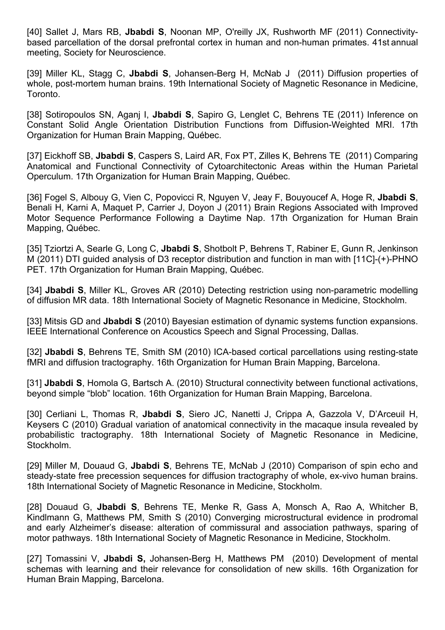[40] Sallet J, Mars RB, **Jbabdi S**, Noonan MP, O'reilly JX, Rushworth MF (2011) Connectivitybased parcellation of the dorsal prefrontal cortex in human and non-human primates. 41st annual meeting, Society for Neuroscience.

[39] Miller KL, Stagg C, **Jbabdi S**, Johansen-Berg H, McNab J (2011) Diffusion properties of whole, post-mortem human brains. 19th International Society of Magnetic Resonance in Medicine, Toronto.

[38] Sotiropoulos SN, Aganj I, **Jbabdi S**, Sapiro G, Lenglet C, Behrens TE (2011) Inference on Constant Solid Angle Orientation Distribution Functions from Diffusion-Weighted MRI. 17th Organization for Human Brain Mapping, Québec.

[37] Eickhoff SB, **Jbabdi S**, Caspers S, Laird AR, Fox PT, Zilles K, Behrens TE (2011) Comparing Anatomical and Functional Connectivity of Cytoarchitectonic Areas within the Human Parietal Operculum. 17th Organization for Human Brain Mapping, Québec.

[36] Fogel S, Albouy G, Vien C, Popovicci R, Nguyen V, Jeay F, Bouyoucef A, Hoge R, **Jbabdi S**, Benali H, Karni A, Maquet P, Carrier J, Doyon J (2011) Brain Regions Associated with Improved Motor Sequence Performance Following a Daytime Nap. 17th Organization for Human Brain Mapping, Québec.

[35] Tziortzi A, Searle G, Long C, **Jbabdi S**, Shotbolt P, Behrens T, Rabiner E, Gunn R, Jenkinson M (2011) DTI guided analysis of D3 receptor distribution and function in man with [11C]-(+)-PHNO PET. 17th Organization for Human Brain Mapping, Québec.

[34] **Jbabdi S**, Miller KL, Groves AR (2010) Detecting restriction using non-parametric modelling of diffusion MR data. 18th International Society of Magnetic Resonance in Medicine, Stockholm.

[33] Mitsis GD and **Jbabdi S** (2010) Bayesian estimation of dynamic systems function expansions. IEEE International Conference on Acoustics Speech and Signal Processing, Dallas.

[32] **Jbabdi S**, Behrens TE, Smith SM (2010) ICA-based cortical parcellations using resting-state fMRI and diffusion tractography. 16th Organization for Human Brain Mapping, Barcelona.

[31] **Jbabdi S**, Homola G, Bartsch A. (2010) Structural connectivity between functional activations, beyond simple "blob" location. 16th Organization for Human Brain Mapping, Barcelona.

[30] Cerliani L, Thomas R, **Jbabdi S**, Siero JC, Nanetti J, Crippa A, Gazzola V, D'Arceuil H, Keysers C (2010) Gradual variation of anatomical connectivity in the macaque insula revealed by probabilistic tractography. 18th International Society of Magnetic Resonance in Medicine, Stockholm.

[29] Miller M, Douaud G, **Jbabdi S**, Behrens TE, McNab J (2010) Comparison of spin echo and steady-state free precession sequences for diffusion tractography of whole, ex-vivo human brains. 18th International Society of Magnetic Resonance in Medicine, Stockholm.

[28] Douaud G, **Jbabdi S**, Behrens TE, Menke R, Gass A, Monsch A, Rao A, Whitcher B, Kindlmann G, Matthews PM, Smith S (2010) Converging microstructural evidence in prodromal and early Alzheimer's disease: alteration of commissural and association pathways, sparing of motor pathways. 18th International Society of Magnetic Resonance in Medicine, Stockholm.

[27] Tomassini V, **Jbabdi S,** Johansen-Berg H, Matthews PM (2010) Development of mental schemas with learning and their relevance for consolidation of new skills. 16th Organization for Human Brain Mapping, Barcelona.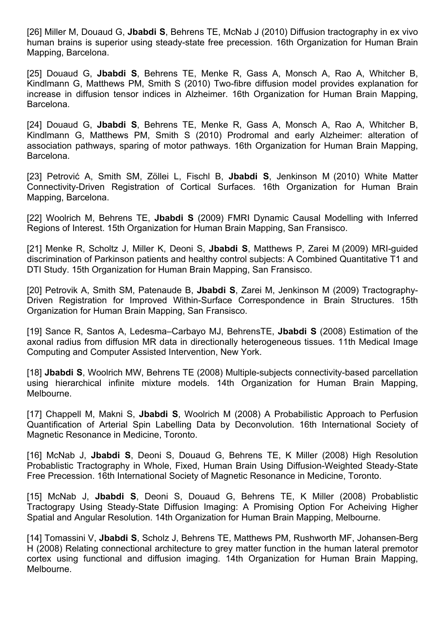[26] Miller M, Douaud G, **Jbabdi S**, Behrens TE, McNab J (2010) Diffusion tractography in ex vivo human brains is superior using steady-state free precession. 16th Organization for Human Brain Mapping, Barcelona.

[25] Douaud G, **Jbabdi S**, Behrens TE, Menke R, Gass A, Monsch A, Rao A, Whitcher B, Kindlmann G, Matthews PM, Smith S (2010) Two-fibre diffusion model provides explanation for increase in diffusion tensor indices in Alzheimer. 16th Organization for Human Brain Mapping, Barcelona.

[24] Douaud G, **Jbabdi S**, Behrens TE, Menke R, Gass A, Monsch A, Rao A, Whitcher B, Kindlmann G, Matthews PM, Smith S (2010) Prodromal and early Alzheimer: alteration of association pathways, sparing of motor pathways. 16th Organization for Human Brain Mapping, Barcelona.

[23] Petrović A, Smith SM, Zöllei L, Fischl B, **Jbabdi S**, Jenkinson M (2010) White Matter Connectivity-Driven Registration of Cortical Surfaces. 16th Organization for Human Brain Mapping, Barcelona.

[22] Woolrich M, Behrens TE, **Jbabdi S** (2009) FMRI Dynamic Causal Modelling with Inferred Regions of Interest. 15th Organization for Human Brain Mapping, San Fransisco.

[21] Menke R, Scholtz J, Miller K, Deoni S, **Jbabdi S**, Matthews P, Zarei M (2009) MRI-guided discrimination of Parkinson patients and healthy control subjects: A Combined Quantitative T1 and DTI Study. 15th Organization for Human Brain Mapping, San Fransisco.

[20] Petrovik A, Smith SM, Patenaude B, **Jbabdi S**, Zarei M, Jenkinson M (2009) Tractography-Driven Registration for Improved Within-Surface Correspondence in Brain Structures. 15th Organization for Human Brain Mapping, San Fransisco.

[19] Sance R, Santos A, Ledesma–Carbayo MJ, BehrensTE, **Jbabdi S** (2008) Estimation of the axonal radius from diffusion MR data in directionally heterogeneous tissues. 11th Medical Image Computing and Computer Assisted Intervention, New York.

[18] **Jbabdi S**, Woolrich MW, Behrens TE (2008) Multiple-subjects connectivity-based parcellation using hierarchical infinite mixture models. 14th Organization for Human Brain Mapping, Melbourne.

[17] Chappell M, Makni S, **Jbabdi S**, Woolrich M (2008) A Probabilistic Approach to Perfusion Quantification of Arterial Spin Labelling Data by Deconvolution. 16th International Society of Magnetic Resonance in Medicine, Toronto.

[16] McNab J, **Jbabdi S**, Deoni S, Douaud G, Behrens TE, K Miller (2008) High Resolution Probablistic Tractography in Whole, Fixed, Human Brain Using Diffusion-Weighted Steady-State Free Precession. 16th International Society of Magnetic Resonance in Medicine, Toronto.

[15] McNab J, **Jbabdi S**, Deoni S, Douaud G, Behrens TE, K Miller (2008) Probablistic Tractograpy Using Steady-State Diffusion Imaging: A Promising Option For Acheiving Higher Spatial and Angular Resolution. 14th Organization for Human Brain Mapping, Melbourne.

[14] Tomassini V, **Jbabdi S**, Scholz J, Behrens TE, Matthews PM, Rushworth MF, Johansen-Berg H (2008) Relating connectional architecture to grey matter function in the human lateral premotor cortex using functional and diffusion imaging. 14th Organization for Human Brain Mapping, Melbourne.